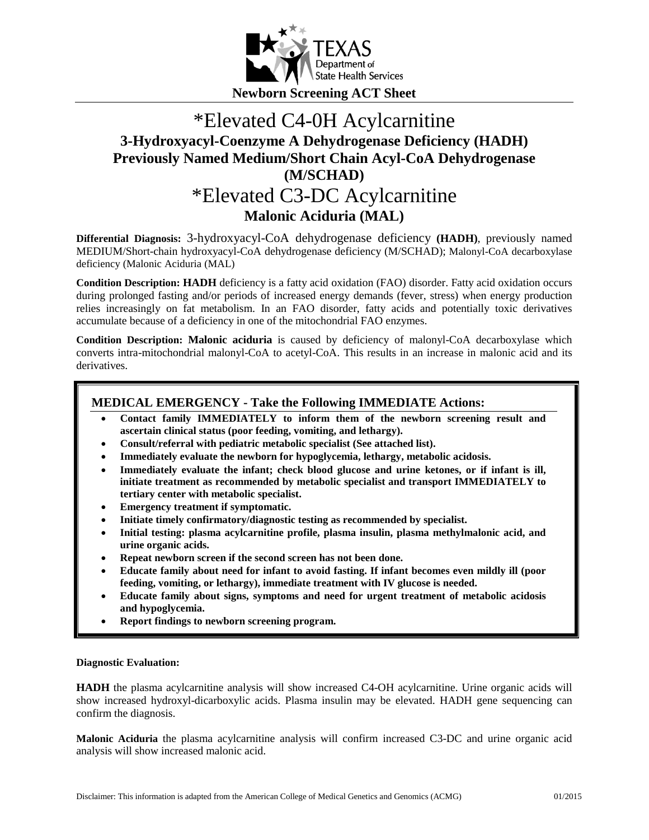

# \*Elevated C4-0H Acylcarnitine **3-Hydroxyacyl-Coenzyme A Dehydrogenase Deficiency (HADH) Previously Named Medium/Short Chain Acyl-CoA Dehydrogenase (M/SCHAD)** \*Elevated C3-DC Acylcarnitine

**Malonic Aciduria (MAL)**

**Differential Diagnosis:** 3-hydroxyacyl-CoA dehydrogenase deficiency **(HADH)**, previously named MEDIUM/Short-chain hydroxyacyl-CoA dehydrogenase deficiency (M/SCHAD); Malonyl-CoA decarboxylase deficiency (Malonic Aciduria (MAL)

**Condition Description: HADH** deficiency is a fatty acid oxidation (FAO) disorder. Fatty acid oxidation occurs during prolonged fasting and/or periods of increased energy demands (fever, stress) when energy production relies increasingly on fat metabolism. In an FAO disorder, fatty acids and potentially toxic derivatives accumulate because of a deficiency in one of the mitochondrial FAO enzymes.

**Condition Description: Malonic aciduria** is caused by deficiency of malonyl-CoA decarboxylase which converts intra-mitochondrial malonyl-CoA to acetyl-CoA. This results in an increase in malonic acid and its derivatives.

### **MEDICAL EMERGENCY - Take the Following IMMEDIATE Actions:**

- **Contact family IMMEDIATELY to inform them of the newborn screening result and ascertain clinical status (poor feeding, vomiting, and lethargy).**
- **Consult/referral with pediatric metabolic specialist (See attached list).**
- **Immediately evaluate the newborn for hypoglycemia, lethargy, metabolic acidosis.**
- **Immediately evaluate the infant; check blood glucose and urine ketones, or if infant is ill, initiate treatment as recommended by metabolic specialist and transport IMMEDIATELY to tertiary center with metabolic specialist.**
- **Emergency treatment if symptomatic.**
- **Initiate timely confirmatory/diagnostic testing as recommended by specialist.**
- **Initial testing: plasma acylcarnitine profile, plasma insulin, plasma methylmalonic acid, and urine organic acids.**
- **Repeat newborn screen if the second screen has not been done.**
- **Educate family about need for infant to avoid fasting. If infant becomes even mildly ill (poor feeding, vomiting, or lethargy), immediate treatment with IV glucose is needed.**
- **Educate family about signs, symptoms and need for urgent treatment of metabolic acidosis and hypoglycemia.**
- **Report findings to newborn screening program.**

### **Diagnostic Evaluation:**

**HADH** the plasma acylcarnitine analysis will show increased C4-OH acylcarnitine. Urine organic acids will show increased hydroxyl-dicarboxylic acids. Plasma insulin may be elevated. HADH gene sequencing can confirm the diagnosis.

**Malonic Aciduria** the plasma acylcarnitine analysis will confirm increased C3-DC and urine organic acid analysis will show increased malonic acid.